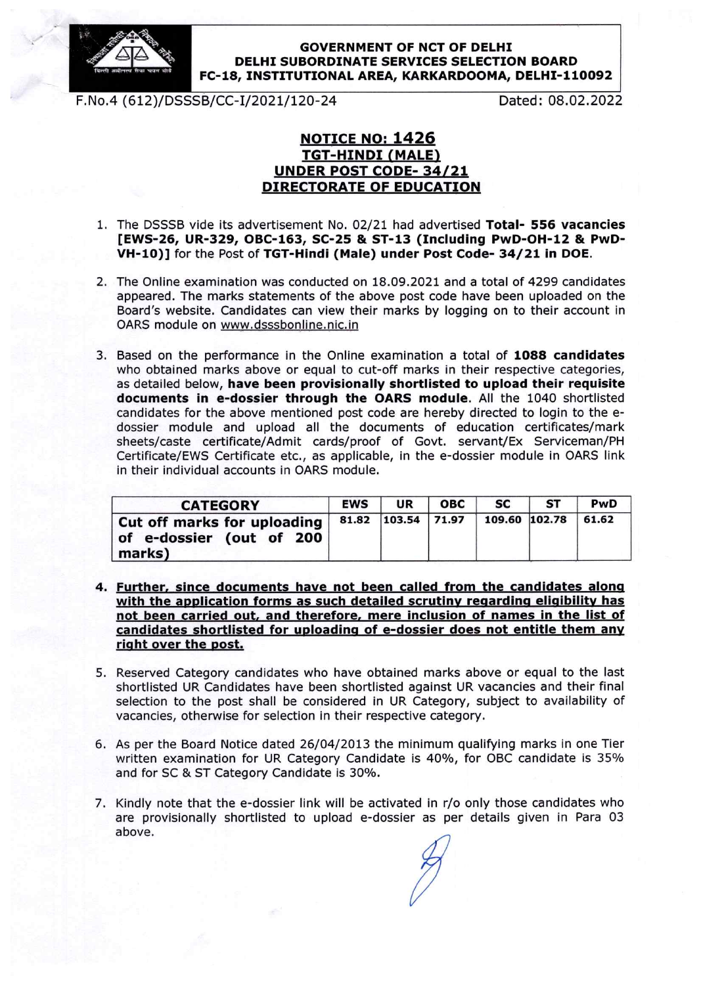

## **GOVERNMENT OF NCT OF DELHI** DELHI SUBORDINATE SERVICES SELECTION BOARD FC-18, INSTITUTIONAL AREA, KARKARDOOMA, DELHI-110092

F.No.4 (612)/DSSSB/CC-I/2021/120-24 Dated: 08.02.2022

## **NOTICE NO: 1426 TGT-HINDI (MALE)** UNDER POST CODE-34/21 DIRECTORATE OF EDUCATION

- 1. The DSSSB vide its advertisement No. 02/21 had advertised Total- 556 vacancies [EWS-26, UR-329, OBC-163, SC-25 & ST-13 (Including PwD-OH-12 & Pwl}- VH-10)] for the Post of TGT-Hindi (Male) under Post Code-34/21 in DOE.
- 2. The Online examination was conducted on 18.09.2021 and a total of 4299 candidates appeared. The marks statements of the above post code have been uploaded on the Board's website. Candidates can view their marks by logging on to their account in OARS module on www.dsssbonline.nic.in
- 3. Based on the performance in the Online examination a total of 1088 candidates who obtained marks above or equal to cut-off marks in their respective categories, as detailed below, have been provisionally shortlisted to upload their requisite documents in e-dossier through the OARS module. AIl the 1040 shortlisted candidates for the above mentioned post code are hereby directed to login to the edossier module and upload all the documents of education certificates/mark sheets/caste certificate/Admit cards/proof of Govt. servant/Ex Serviceman/PH Certificate/EWS Certificate etc., as applicable, in the e-dossier module in OARS link in their individual accounts in OARS module.

| <b>CATEGORY</b>                                                   | <b>EWS</b> | UR                 | <b>OBC</b> | <b>SC</b>     | <b>ST</b> | PwD   |
|-------------------------------------------------------------------|------------|--------------------|------------|---------------|-----------|-------|
| Cut off marks for uploading<br>of e-dossier (out of 200<br>marks) |            | 81.82 103.54 71.97 |            | 109.60 102.78 |           | 61.62 |

- 4. Further, since documents have not been called from the candidates alona with the application forms as such detailed scrutiny regarding eligibility has not been carried out, and therefore, mere inclusion of names in the list of candidates shortlisted for uploading of e-dossier does not entitle them any right over the post.
- 5. Reserved Category candidates who have obtained marks above or equal to the last shortlisted uR Candidates have been shortlisted against UR vacancies and their final selection to the post shall be considered in UR Category, subject to availability of vacancies, otherwise for selection in their respective category.
- 6. As per the Board Notice dated 26/04/2013 the minimum qualifying marks in one Tier written examination for UR Category Candidate is 40%, for OBC candidate is 35% and for SC & ST Category Candidate is 30%.
- 7. Kindly note that the e-dossier link will be activated ln r/o only those candidates who are provisionally shortlisted to upload e-dossier as per details given in Pare 03 above.